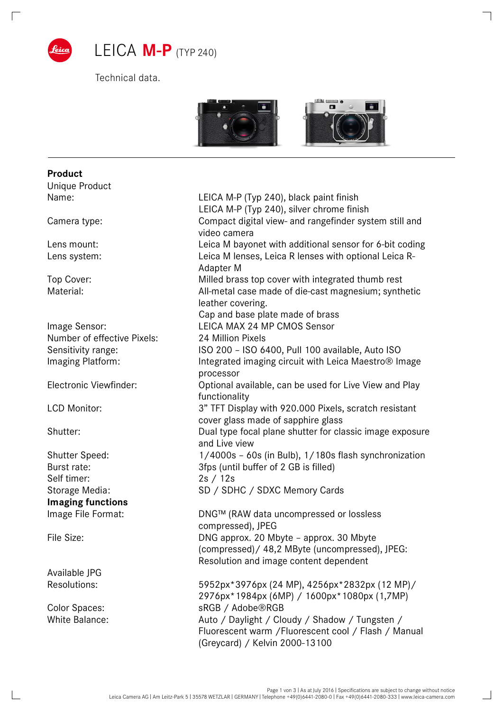

Technical data.



| Unique Product              |                                                                  |
|-----------------------------|------------------------------------------------------------------|
| Name:                       | LEICA M-P (Typ 240), black paint finish                          |
|                             | LEICA M-P (Typ 240), silver chrome finish                        |
| Camera type:                | Compact digital view- and rangefinder system still and           |
|                             | video camera                                                     |
| Lens mount:                 | Leica M bayonet with additional sensor for 6-bit coding          |
| Lens system:                | Leica M lenses, Leica R lenses with optional Leica R-            |
|                             | Adapter M                                                        |
| Top Cover:                  | Milled brass top cover with integrated thumb rest                |
| Material:                   | All-metal case made of die-cast magnesium; synthetic             |
|                             | leather covering.                                                |
|                             | Cap and base plate made of brass                                 |
| Image Sensor:               | LEICA MAX 24 MP CMOS Sensor                                      |
| Number of effective Pixels: | 24 Million Pixels                                                |
| Sensitivity range:          | ISO 200 - ISO 6400, Pull 100 available, Auto ISO                 |
| Imaging Platform:           | Integrated imaging circuit with Leica Maestro <sup>®</sup> Image |
|                             | processor                                                        |
| Electronic Viewfinder:      | Optional available, can be used for Live View and Play           |
|                             | functionality                                                    |
| <b>LCD Monitor:</b>         | 3" TFT Display with 920.000 Pixels, scratch resistant            |
|                             | cover glass made of sapphire glass                               |
| Shutter:                    | Dual type focal plane shutter for classic image exposure         |
|                             | and Live view                                                    |
| <b>Shutter Speed:</b>       | 1/4000s - 60s (in Bulb), 1/180s flash synchronization            |
| Burst rate:                 | 3fps (until buffer of 2 GB is filled)                            |
| Self timer:                 | 2s / 12s                                                         |
| Storage Media:              | SD / SDHC / SDXC Memory Cards                                    |
| <b>Imaging functions</b>    |                                                                  |
| Image File Format:          | DNG™ (RAW data uncompressed or lossless                          |
|                             | compressed), JPEG                                                |
| File Size:                  | DNG approx. 20 Mbyte - approx. 30 Mbyte                          |
|                             | (compressed) / 48,2 MByte (uncompressed), JPEG:                  |
|                             | Resolution and image content dependent                           |
| Available JPG               |                                                                  |
| <b>Resolutions:</b>         | 5952px*3976px (24 MP), 4256px*2832px (12 MP)/                    |
|                             | 2976px*1984px (6MP) / 1600px*1080px (1,7MP)                      |
| Color Spaces:               | sRGB / Adobe®RGB                                                 |
| <b>White Balance:</b>       | Auto / Daylight / Cloudy / Shadow / Tungsten /                   |
|                             | Fluorescent warm / Fluorescent cool / Flash / Manual             |
|                             | (Greycard) / Kelvin 2000-13100                                   |
|                             |                                                                  |

**Product** Unique Product

 $\Box$ 

 $\overline{\phantom{0}}$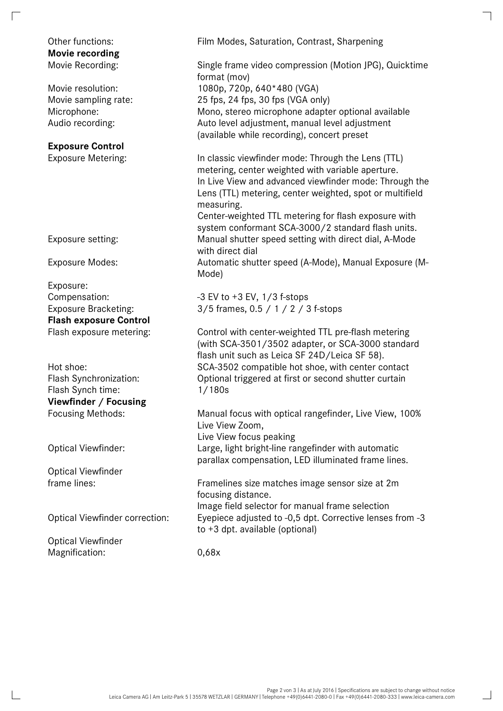## **Movie recording**

## **Exposure Control**

Exposure: **Flash exposure Control** 

Flash Synch time: 1/180s **Viewfinder / Focusing** 

Optical Viewfinder

Optical Viewfinder Magnification: 0,68x

Other functions: Film Modes, Saturation, Contrast, Sharpening

Movie Recording: Single frame video compression (Motion JPG), Quicktime format (mov) Movie resolution: 1080p, 720p, 640\*480 (VGA) Movie sampling rate: 25 fps, 24 fps, 30 fps (VGA only) Microphone: Mono, stereo microphone adapter optional available Audio recording: Auto level adjustment, manual level adjustment (available while recording), concert preset

Exposure Metering: In classic viewfinder mode: Through the Lens (TTL) metering, center weighted with variable aperture. In Live View and advanced viewfinder mode: Through the Lens (TTL) metering, center weighted, spot or multifield measuring.

Center-weighted TTL metering for flash exposure with system conformant SCA-3000/2 standard flash units. Exposure setting: Manual shutter speed setting with direct dial, A-Mode with direct dial

Exposure Modes: Automatic shutter speed (A-Mode), Manual Exposure (M-Mode)

Compensation: -3 EV to +3 EV, 1/3 f-stops Exposure Bracketing: 3/5 frames, 0.5 / 1 / 2 / 3 f-stops

Flash exposure metering: Control with center-weighted TTL pre-flash metering (with SCA-3501/3502 adapter, or SCA-3000 standard flash unit such as Leica SF 24D/Leica SF 58). Hot shoe: SCA-3502 compatible hot shoe, with center contact Flash Synchronization: Optional triggered at first or second shutter curtain

Focusing Methods: Manual focus with optical rangefinder, Live View, 100% Live View Zoom, Live View focus peaking Optical Viewfinder: Large, light bright-line rangefinder with automatic parallax compensation, LED illuminated frame lines.

frame lines: Framelines size matches image sensor size at 2m focusing distance. Image field selector for manual frame selection Optical Viewfinder correction: Eyepiece adjusted to -0,5 dpt. Corrective lenses from -3 to +3 dpt. available (optional)

 $\overline{\phantom{0}}$